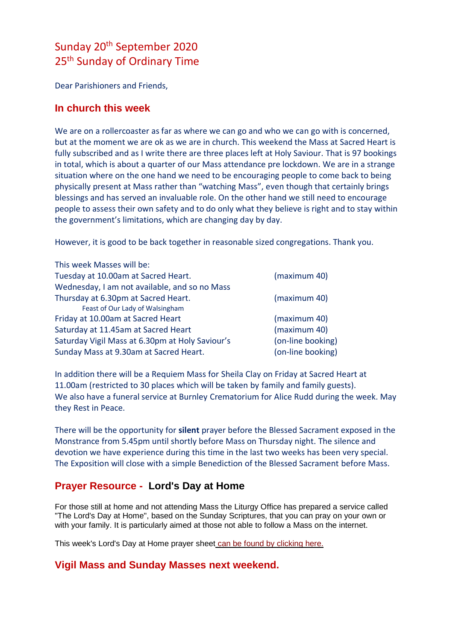# Sunday 20th September 2020 25<sup>th</sup> Sunday of Ordinary Time

Dear Parishioners and Friends,

## **In church this week**

We are on a rollercoaster as far as where we can go and who we can go with is concerned. but at the moment we are ok as we are in church. This weekend the Mass at Sacred Heart is fully subscribed and as I write there are three places left at Holy Saviour. That is 97 bookings in total, which is about a quarter of our Mass attendance pre lockdown. We are in a strange situation where on the one hand we need to be encouraging people to come back to being physically present at Mass rather than "watching Mass", even though that certainly brings blessings and has served an invaluable role. On the other hand we still need to encourage people to assess their own safety and to do only what they believe is right and to stay within the government's limitations, which are changing day by day.

However, it is good to be back together in reasonable sized congregations. Thank you.

| This week Masses will be:                       |                   |
|-------------------------------------------------|-------------------|
| Tuesday at 10.00am at Sacred Heart.             | (maximum 40)      |
| Wednesday, I am not available, and so no Mass   |                   |
| Thursday at 6.30pm at Sacred Heart.             | (maximum 40)      |
| Feast of Our Lady of Walsingham                 |                   |
| Friday at 10.00am at Sacred Heart               | (maximum 40)      |
| Saturday at 11.45am at Sacred Heart             | (maximum 40)      |
| Saturday Vigil Mass at 6.30pm at Holy Saviour's | (on-line booking) |
| Sunday Mass at 9.30am at Sacred Heart.          | (on-line booking) |

In addition there will be a Requiem Mass for Sheila Clay on Friday at Sacred Heart at 11.00am (restricted to 30 places which will be taken by family and family guests). We also have a funeral service at Burnley Crematorium for Alice Rudd during the week. May they Rest in Peace.

There will be the opportunity for **silent** prayer before the Blessed Sacrament exposed in the Monstrance from 5.45pm until shortly before Mass on Thursday night. The silence and devotion we have experience during this time in the last two weeks has been very special. The Exposition will close with a simple Benediction of the Blessed Sacrament before Mass.

# **Prayer Resource - Lord's Day at Home**

For those still at home and not attending Mass the Liturgy Office has prepared a service called "The Lord's Day at Home", based on the Sunday Scriptures, that you can pray on your own or with your family. It is particularly aimed at those not able to follow a Mass on the internet.

This week's Lord's Day at Home prayer shee[t](https://dioceseofsalford.us6.list-manage.com/track/click?u=76e219dab8653b775ba8aac4c&id=a5433aff5f&e=5ce69633f0) [can be found by clicking here.](https://dioceseofsalford.us6.list-manage.com/track/click?u=76e219dab8653b775ba8aac4c&id=10347437b0&e=5ce69633f0)

## **Vigil Mass and Sunday Masses next weekend.**